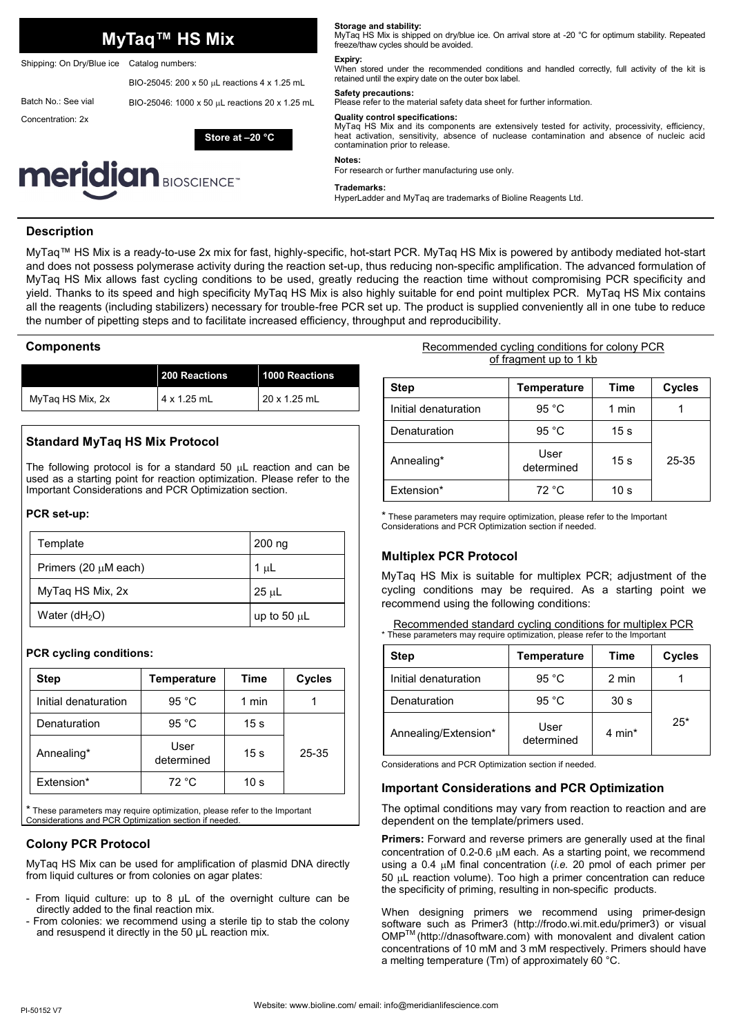|                                         |                           | MyTaq™ HS Mix                                  | MyTag HS Mix is shipped on dry/blue ice. On arrival store at -20 °C for optimum stability. Repeated<br>freeze/thaw cycles should be avoided.                                                                                                                               |  |
|-----------------------------------------|---------------------------|------------------------------------------------|----------------------------------------------------------------------------------------------------------------------------------------------------------------------------------------------------------------------------------------------------------------------------|--|
|                                         | Shipping: On Dry/Blue ice | Catalog numbers:                               | Expiry:<br>When stored under the recommended conditions and handled correctly, full activity of the kit is                                                                                                                                                                 |  |
|                                         |                           | BIO-25045: 200 x 50 µL reactions 4 x 1.25 mL   | retained until the expiry date on the outer box label.<br>Safety precautions:                                                                                                                                                                                              |  |
|                                         | Batch No.: See vial       | BIO-25046: 1000 x 50 µL reactions 20 x 1.25 mL | Please refer to the material safety data sheet for further information.                                                                                                                                                                                                    |  |
|                                         | Concentration: 2x         | Store at $-20$ °C                              | <b>Quality control specifications:</b><br>MyTaq HS Mix and its components are extensively tested for activity, processivity, efficiency,<br>heat activation, sensitivity, absence of nuclease contamination and absence of nucleic acid<br>contamination prior to release. |  |
| <b>meridian</b> BIOSCIENCE <sup>*</sup> |                           |                                                | Notes:<br>For research or further manufacturing use only.                                                                                                                                                                                                                  |  |
|                                         |                           |                                                | Trademarks:<br>HyperLadder and MyTaq are trademarks of Bioline Reagents Ltd.                                                                                                                                                                                               |  |
|                                         |                           |                                                |                                                                                                                                                                                                                                                                            |  |

**Storage and stability:** 

## **Description**

MyTaq™ HS Mix is a ready-to-use 2x mix for fast, highly-specific, hot-start PCR. MyTaq HS Mix is powered by antibody mediated hot-start and does not possess polymerase activity during the reaction set-up, thus reducing non-specific amplification. The advanced formulation of MyTaq HS Mix allows fast cycling conditions to be used, greatly reducing the reaction time without compromising PCR specificity and yield. Thanks to its speed and high specificity MyTaq HS Mix is also highly suitable for end point multiplex PCR. MyTaq HS Mix contains all the reagents (including stabilizers) necessary for trouble-free PCR set up. The product is supplied conveniently all in one tube to reduce the number of pipetting steps and to facilitate increased efficiency, throughput and reproducibility.

## **Components**

|                  | 200 Reactions      | 1000 Reactions      |
|------------------|--------------------|---------------------|
| MyTag HS Mix, 2x | $4 \times 1.25$ mL | $20 \times 1.25$ mL |

## **Standard MyTaq HS Mix Protocol**

The following protocol is for a standard 50  $\mu$ L reaction and can be used as a starting point for reaction optimization. Please refer to the Important Considerations and PCR Optimization section.

#### **PCR set-up:**

| Template                  | 200 ng           |
|---------------------------|------------------|
| Primers (20 $\mu$ M each) | 1 $\mu$ L        |
| MyTaq HS Mix, 2x          | $25 \mu L$       |
| Water $(dH2O)$            | up to 50 $\mu$ L |

## **PCR cycling conditions:**

| <b>Step</b>          | Temperature        | Time            | <b>Cycles</b> |
|----------------------|--------------------|-----------------|---------------|
| Initial denaturation | 95 $^{\circ}$ C    | 1 min           |               |
| Denaturation         | 95 $°C$            | 15 s            |               |
| Annealing*           | User<br>determined | 15 <sub>s</sub> | 25-35         |
| Fxtension*           | 72 °C              | 10 <sub>s</sub> |               |

\* These parameters may require optimization, please refer to the Important Considerations and PCR Optimization section if needed.

## **Colony PCR Protocol**

MyTaq HS Mix can be used for amplification of plasmid DNA directly from liquid cultures or from colonies on agar plates:

- From liquid culture: up to 8 μL of the overnight culture can be directly added to the final reaction mix.
- From colonies: we recommend using a sterile tip to stab the colony and resuspend it directly in the 50 μL reaction mix.

#### Recommended cycling conditions for colony PCR of fragment up to 1 kb

| <b>Step</b>          | <b>Temperature</b> | <b>Time</b>     | <b>Cycles</b> |
|----------------------|--------------------|-----------------|---------------|
| Initial denaturation | 95 $^{\circ}$ C    | 1 min           |               |
| Denaturation         | 95 $^{\circ}$ C    | 15 <sub>s</sub> |               |
| Annealing*           | User<br>determined | 15 <sub>s</sub> | 25-35         |
| Extension*           | 72 °C              | 10 s            |               |

\* These parameters may require optimization, please refer to the Important Considerations and PCR Optimization section if needed.

## **Multiplex PCR Protocol**

MyTaq HS Mix is suitable for multiplex PCR; adjustment of the cycling conditions may be required. As a starting point we recommend using the following conditions:

|  | Recommended standard cycling conditions for multiplex PCR                  |  |  |  |
|--|----------------------------------------------------------------------------|--|--|--|
|  | * These parameters may require optimization, please refer to the Important |  |  |  |

| <b>Step</b>          | <b>Temperature</b> | Time            | Cycles |
|----------------------|--------------------|-----------------|--------|
| Initial denaturation | 95 $^{\circ}$ C    | 2 min           |        |
| Denaturation         | 95 $^{\circ}$ C    | 30 <sub>s</sub> |        |
| Annealing/Extension* | User<br>determined | 4 min $*$       | $25*$  |

Considerations and PCR Optimization section if needed.

## **Important Considerations and PCR Optimization**

The optimal conditions may vary from reaction to reaction and are dependent on the template/primers used.

**Primers:** Forward and reverse primers are generally used at the final concentration of 0.2-0.6  $\mu$ M each. As a starting point, we recommend using a 0.4  $\mu$ M final concentration (*i.e.* 20 pmol of each primer per  $50$   $\mu$ L reaction volume). Too high a primer concentration can reduce the specificity of priming, resulting in non-specific products.

When designing primers we recommend using primer-design software such as Primer3 (http://frodo.wi.mit.edu/primer3) or visual OMPTM (http://dnasoftware.com) with monovalent and divalent cation concentrations of 10 mM and 3 mM respectively. Primers should have a melting temperature (Tm) of approximately 60 °C.